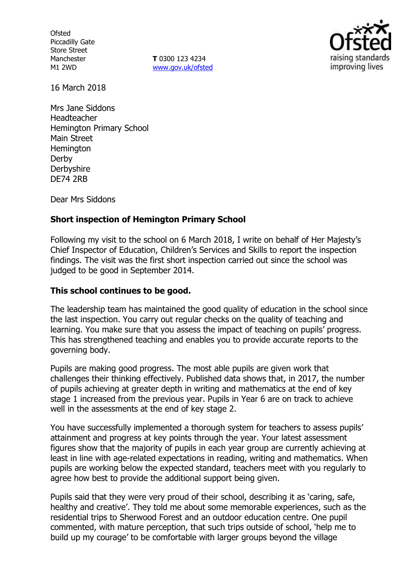**Ofsted** Piccadilly Gate Store Street Manchester M1 2WD

**T** 0300 123 4234 www.gov.uk/ofsted



16 March 2018

Mrs Jane Siddons Headteacher Hemington Primary School Main Street **Hemington** Derby **Derbyshire** DE74 2RB

Dear Mrs Siddons

### **Short inspection of Hemington Primary School**

Following my visit to the school on 6 March 2018, I write on behalf of Her Majesty's Chief Inspector of Education, Children's Services and Skills to report the inspection findings. The visit was the first short inspection carried out since the school was judged to be good in September 2014.

#### **This school continues to be good.**

The leadership team has maintained the good quality of education in the school since the last inspection. You carry out regular checks on the quality of teaching and learning. You make sure that you assess the impact of teaching on pupils' progress. This has strengthened teaching and enables you to provide accurate reports to the governing body.

Pupils are making good progress. The most able pupils are given work that challenges their thinking effectively. Published data shows that, in 2017, the number of pupils achieving at greater depth in writing and mathematics at the end of key stage 1 increased from the previous year. Pupils in Year 6 are on track to achieve well in the assessments at the end of key stage 2.

You have successfully implemented a thorough system for teachers to assess pupils' attainment and progress at key points through the year. Your latest assessment figures show that the majority of pupils in each year group are currently achieving at least in line with age-related expectations in reading, writing and mathematics. When pupils are working below the expected standard, teachers meet with you regularly to agree how best to provide the additional support being given.

Pupils said that they were very proud of their school, describing it as 'caring, safe, healthy and creative'. They told me about some memorable experiences, such as the residential trips to Sherwood Forest and an outdoor education centre. One pupil commented, with mature perception, that such trips outside of school, 'help me to build up my courage' to be comfortable with larger groups beyond the village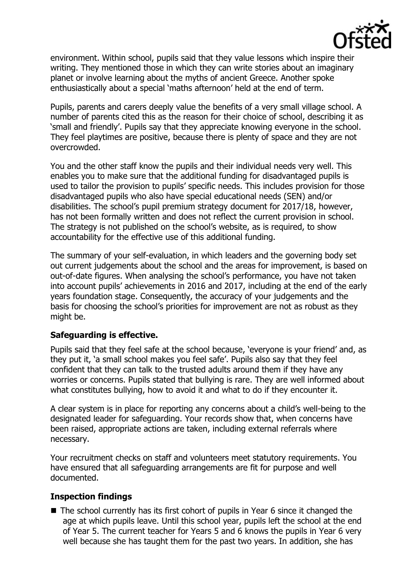

environment. Within school, pupils said that they value lessons which inspire their writing. They mentioned those in which they can write stories about an imaginary planet or involve learning about the myths of ancient Greece. Another spoke enthusiastically about a special 'maths afternoon' held at the end of term.

Pupils, parents and carers deeply value the benefits of a very small village school. A number of parents cited this as the reason for their choice of school, describing it as 'small and friendly'. Pupils say that they appreciate knowing everyone in the school. They feel playtimes are positive, because there is plenty of space and they are not overcrowded.

You and the other staff know the pupils and their individual needs very well. This enables you to make sure that the additional funding for disadvantaged pupils is used to tailor the provision to pupils' specific needs. This includes provision for those disadvantaged pupils who also have special educational needs (SEN) and/or disabilities. The school's pupil premium strategy document for 2017/18, however, has not been formally written and does not reflect the current provision in school. The strategy is not published on the school's website, as is required, to show accountability for the effective use of this additional funding.

The summary of your self-evaluation, in which leaders and the governing body set out current judgements about the school and the areas for improvement, is based on out-of-date figures. When analysing the school's performance, you have not taken into account pupils' achievements in 2016 and 2017, including at the end of the early years foundation stage. Consequently, the accuracy of your judgements and the basis for choosing the school's priorities for improvement are not as robust as they might be.

### **Safeguarding is effective.**

Pupils said that they feel safe at the school because, 'everyone is your friend' and, as they put it, 'a small school makes you feel safe'. Pupils also say that they feel confident that they can talk to the trusted adults around them if they have any worries or concerns. Pupils stated that bullying is rare. They are well informed about what constitutes bullying, how to avoid it and what to do if they encounter it.

A clear system is in place for reporting any concerns about a child's well-being to the designated leader for safeguarding. Your records show that, when concerns have been raised, appropriate actions are taken, including external referrals where necessary.

Your recruitment checks on staff and volunteers meet statutory requirements. You have ensured that all safeguarding arrangements are fit for purpose and well documented.

# **Inspection findings**

■ The school currently has its first cohort of pupils in Year 6 since it changed the age at which pupils leave. Until this school year, pupils left the school at the end of Year 5. The current teacher for Years 5 and 6 knows the pupils in Year 6 very well because she has taught them for the past two years. In addition, she has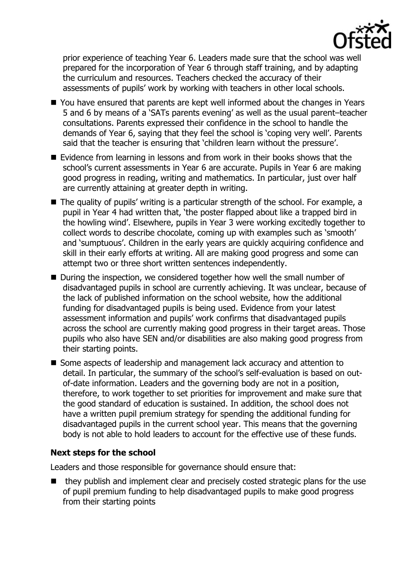

prior experience of teaching Year 6. Leaders made sure that the school was well prepared for the incorporation of Year 6 through staff training, and by adapting the curriculum and resources. Teachers checked the accuracy of their assessments of pupils' work by working with teachers in other local schools.

- You have ensured that parents are kept well informed about the changes in Years 5 and 6 by means of a 'SATs parents evening' as well as the usual parent–teacher consultations. Parents expressed their confidence in the school to handle the demands of Year 6, saying that they feel the school is 'coping very well'. Parents said that the teacher is ensuring that 'children learn without the pressure'.
- Evidence from learning in lessons and from work in their books shows that the school's current assessments in Year 6 are accurate. Pupils in Year 6 are making good progress in reading, writing and mathematics. In particular, just over half are currently attaining at greater depth in writing.
- The quality of pupils' writing is a particular strength of the school. For example, a pupil in Year 4 had written that, 'the poster flapped about like a trapped bird in the howling wind'. Elsewhere, pupils in Year 3 were working excitedly together to collect words to describe chocolate, coming up with examples such as 'smooth' and 'sumptuous'. Children in the early years are quickly acquiring confidence and skill in their early efforts at writing. All are making good progress and some can attempt two or three short written sentences independently.
- During the inspection, we considered together how well the small number of disadvantaged pupils in school are currently achieving. It was unclear, because of the lack of published information on the school website, how the additional funding for disadvantaged pupils is being used. Evidence from your latest assessment information and pupils' work confirms that disadvantaged pupils across the school are currently making good progress in their target areas. Those pupils who also have SEN and/or disabilities are also making good progress from their starting points.
- Some aspects of leadership and management lack accuracy and attention to detail. In particular, the summary of the school's self-evaluation is based on outof-date information. Leaders and the governing body are not in a position, therefore, to work together to set priorities for improvement and make sure that the good standard of education is sustained. In addition, the school does not have a written pupil premium strategy for spending the additional funding for disadvantaged pupils in the current school year. This means that the governing body is not able to hold leaders to account for the effective use of these funds.

### **Next steps for the school**

Leaders and those responsible for governance should ensure that:

 $\blacksquare$  they publish and implement clear and precisely costed strategic plans for the use of pupil premium funding to help disadvantaged pupils to make good progress from their starting points